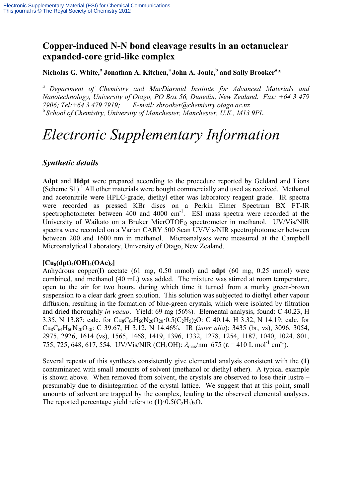# **Copper-induced N-N bond cleavage results in an octanuclear expanded-core grid-like complex**

Nicholas G. White,<sup> $a$ </sup> Jonathan A. Kitchen, $^{\rm a}$  John A. Joule, $^{\rm b}$  and Sally Brooker $^{\rm a}$ \*

*a Department of Chemistry and MacDiarmid Institute for Advanced Materials and Nanotechnology, University of Otago, PO Box 56, Dunedin, New Zealand. Fax: +64 3 479 7906; Tel:+64 3 479 7919; E-mail: sbrooker@chemistry.otago.ac.nz*  <sup>b</sup>*School of Chemistry, University of Manchester, Manchester, U.K., M13 9PL.* 

# *Electronic Supplementary Information*

# *Synthetic details*

**Adpt** and **Hdpt** were prepared according to the procedure reported by Geldard and Lions (Scheme S1).<sup>1</sup> All other materials were bought commercially and used as received. Methanol and acetonitrile were HPLC-grade, diethyl ether was laboratory reagent grade. IR spectra were recorded as pressed KBr discs on a Perkin Elmer Spectrum BX FT-IR spectrophotometer between 400 and 4000  $cm^{-1}$ . ESI mass spectra were recorded at the University of Waikato on a Bruker MicrOTOF<sub>O</sub> spectrometer in methanol. UV/Vis/NIR spectra were recorded on a Varian CARY 500 Scan UV/Vis/NIR spectrophotometer between between 200 and 1600 nm in methanol. Microanalyses were measured at the Campbell Microanalytical Laboratory, University of Otago, New Zealand.

## $[Cu_8(dpt)_4(OH)_4(OAc)_8]$

Anhydrous copper(I) acetate (61 mg, 0.50 mmol) and **adpt** (60 mg, 0.25 mmol) were combined, and methanol (40 mL) was added. The mixture was stirred at room temperature, open to the air for two hours, during which time it turned from a murky green-brown suspension to a clear dark green solution. This solution was subjected to diethyl ether vapour diffusion, resulting in the formation of blue-green crystals, which were isolated by filtration and dried thoroughly *in vacuo*. Yield: 69 mg (56%). Elemental analysis, found: C 40.23, H 3.35, N 13.87; calc. for  $Cu_8C_{64}H_{60}N_{20}O_{20}\cdot 0.5(C_2H_5)_{2}O$ : C 40.14, H 3.32, N 14.19; calc. for Cu8C64H60N20O20: C 39.67, H 3.12, N 14.46%. IR (*inter alia*): 3435 (br, vs), 3096, 3054, 2975, 2926, 1614 (vs), 1565, 1468, 1419, 1396, 1332, 1278, 1254, 1187, 1040, 1024, 801, 755, 725, 648, 617, 554. UV/Vis/NIR (CH<sub>3</sub>OH):  $\lambda_{\text{max}}/ \text{nm}$  675 ( $\varepsilon = 410 \text{ L mol}^{-1} \text{ cm}^{-1}$ ).

Several repeats of this synthesis consistently give elemental analysis consistent with the **(1)** contaminated with small amounts of solvent (methanol or diethyl ether). A typical example is shown above. When removed from solvent, the crystals are observed to lose their lustre – presumably due to disintegration of the crystal lattice. We suggest that at this point, small amounts of solvent are trapped by the complex, leading to the observed elemental analyses. The reported percentage yield refers to  $(1) \cdot 0.5(C_2H_5)$ <sub>2</sub>O.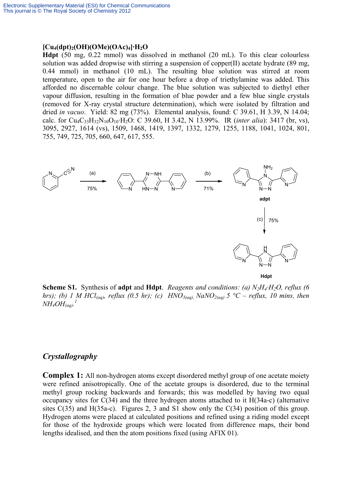#### **[Cu4(dpt)2(OH)(OMe)(OAc)4]·H2O**

**Hdpt** (50 mg, 0.22 mmol) was dissolved in methanol (20 mL). To this clear colourless solution was added dropwise with stirring a suspension of copper(II) acetate hydrate (89 mg, 0.44 mmol) in methanol (10 mL). The resulting blue solution was stirred at room temperature, open to the air for one hour before a drop of triethylamine was added. This afforded no discernable colour change. The blue solution was subjected to diethyl ether vapour diffusion, resulting in the formation of blue powder and a few blue single crystals (removed for X-ray crystal structure determination), which were isolated by filtration and dried *in vacuo*. Yield: 82 mg (73%). Elemental analysis, found: C 39.61, H 3.39, N 14.04; calc. for Cu4C33H32N10O10·H2O: C 39.60, H 3.42, N 13.99%. IR (*inter alia*): 3417 (br, vs), 3095, 2927, 1614 (vs), 1509, 1468, 1419, 1397, 1332, 1279, 1255, 1188, 1041, 1024, 801, 755, 749, 725, 705, 660, 647, 617, 555.



**Scheme S1.** Synthesis of **adpt** and **Hdpt**. *Reagents and conditions: (a) N<sub>2</sub>H<sub>4</sub>·H<sub>2</sub>O, reflux (6) hrs); (b) 1 M HCl*(aq), reflux (0.5 hr); (c) HNO<sub>3(aq)</sub>, NaNO<sub>2(aq)</sub> 5 °C – reflux, 10 mins, then  $\overline{NH_4OH_{(aq)}}$ .<sup>1</sup>

# *Crystallography*

**Complex 1:** All non-hydrogen atoms except disordered methyl group of one acetate moiety were refined anisotropically. One of the acetate groups is disordered, due to the terminal methyl group rocking backwards and forwards; this was modelled by having two equal occupancy sites for C(34) and the three hydrogen atoms attached to it H(34a-c) (alternative sites C(35) and H(35a-c). Figures 2, 3 and S1 show only the C(34) position of this group. Hydrogen atoms were placed at calculated positions and refined using a riding model except for those of the hydroxide groups which were located from difference maps, their bond lengths idealised, and then the atom positions fixed (using AFIX 01).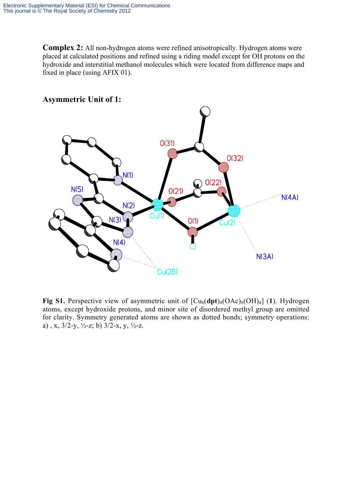**Complex 2:** All non-hydrogen atoms were refined anisotropically. Hydrogen atoms were placed at calculated positions and refined using a riding model except for OH protons on the hydroxide and interstitial methanol molecules which were located from difference maps and fixed in place (using AFIX 01).



**Fig S1.** Perspective view of asymmetric unit of  $\left[\text{Cu}_8(\text{dpt})_4(\text{OAc})_8(\text{OH})_4\right]$  (1). Hydrogen atoms, except hydroxide protons, and minor site of disordered methyl group are omitted for clarity. Symmetry generated atoms are shown as dotted bonds; symmetry operations: a), x,  $3/2-y$ ,  $\frac{1}{2}$ -z; b)  $3/2$ -x, y,  $\frac{1}{2}$ -z.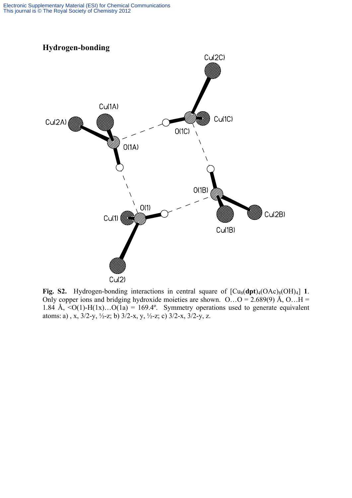

**Fig. S2.** Hydrogen-bonding interactions in central square of  $\left[\text{Cu}_8(\text{dpt})_4(\text{OAc})_8(\text{OH})_4\right]$  1. Only copper ions and bridging hydroxide moieties are shown. O...O = 2.689(9) Å, O...H = 1.84 Å,  $\langle O(1) - H(1x) \dots O(1a) = 169.4^\circ$ . Symmetry operations used to generate equivalent atoms: a), x,  $3/2-y$ ,  $\frac{1}{2}$ -z; b)  $3/2$ -x, y,  $\frac{1}{2}$ -z; c)  $3/2$ -x,  $3/2$ -y, z.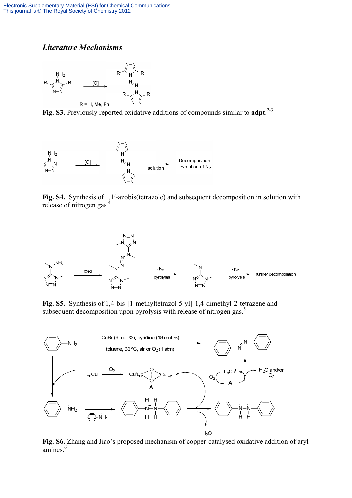## *Literature Mechanisms*



Fig. S3. Previously reported oxidative additions of compounds similar to adpt.<sup>2-3</sup>



**Fig. S4.** Synthesis of 1,1′-azobis(tetrazole) and subsequent decomposition in solution with release of nitrogen gas.<sup>4</sup>



**Fig. S5.** Synthesis of 1,4-bis-[1-methyltetrazol-5-yl]-1,4-dimethyl-2-tetrazene and subsequent decomposition upon pyrolysis with release of nitrogen gas.<sup>5</sup>



**Fig. S6.** Zhang and Jiao's proposed mechanism of copper-catalysed oxidative addition of aryl  $amines.<sup>6</sup>$